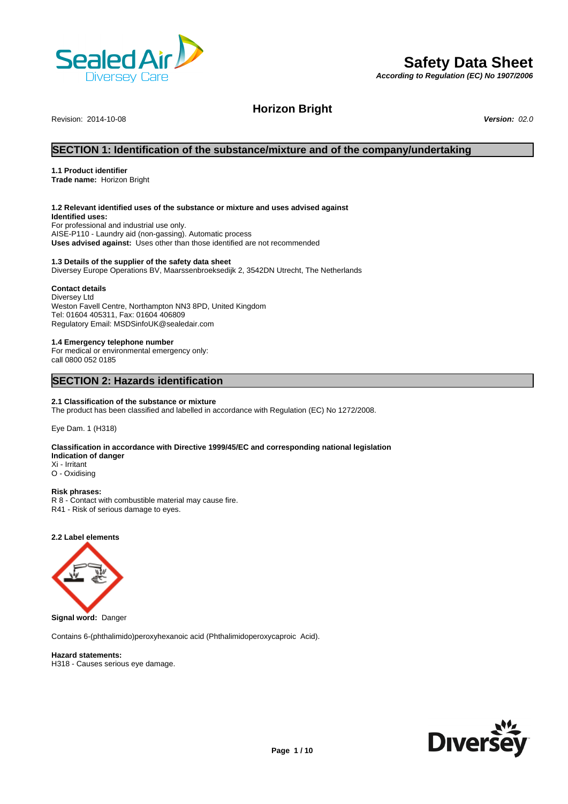

# **Safety Data Sheet**

*According to Regulation (EC) No 1907/2006*

Revision: 2014-10-08 *Version: 02.0*

**Horizon Bright**

# **SECTION 1: Identification of the substance/mixture and of the company/undertaking**

#### **1.1 Product identifier**

**Trade name:** Horizon Bright

# **1.2 Relevant identified uses of the substance or mixture and uses advised against**

**Identified uses:** For professional and industrial use only. AISE-P110 - Laundry aid (non-gassing). Automatic process **Uses advised against:** Uses other than those identified are not recommended

#### **1.3 Details of the supplier of the safety data sheet**

Diversey Europe Operations BV, Maarssenbroeksedijk 2, 3542DN Utrecht, The Netherlands

### **Contact details**

Diversey Ltd Weston Favell Centre, Northampton NN3 8PD, United Kingdom Tel: 01604 405311, Fax: 01604 406809 Regulatory Email: MSDSinfoUK@sealedair.com

#### **1.4 Emergency telephone number**

For medical or environmental emergency only: call 0800 052 0185

# **SECTION 2: Hazards identification**

#### **2.1 Classification of the substance or mixture**

The product has been classified and labelled in accordance with Regulation (EC) No 1272/2008.

Eye Dam. 1 (H318)

#### **Classification in accordance with Directive 1999/45/EC and corresponding national legislation Indication of danger** Xi - Irritant

O - Oxidising

# **Risk phrases:**

R 8 - Contact with combustible material may cause fire. R41 - Risk of serious damage to eyes.

**2.2 Label elements**



**Signal word:** Danger

Contains 6-(phthalimido)peroxyhexanoic acid (Phthalimidoperoxycaproic Acid).

**Hazard statements:** H318 - Causes serious eye damage.

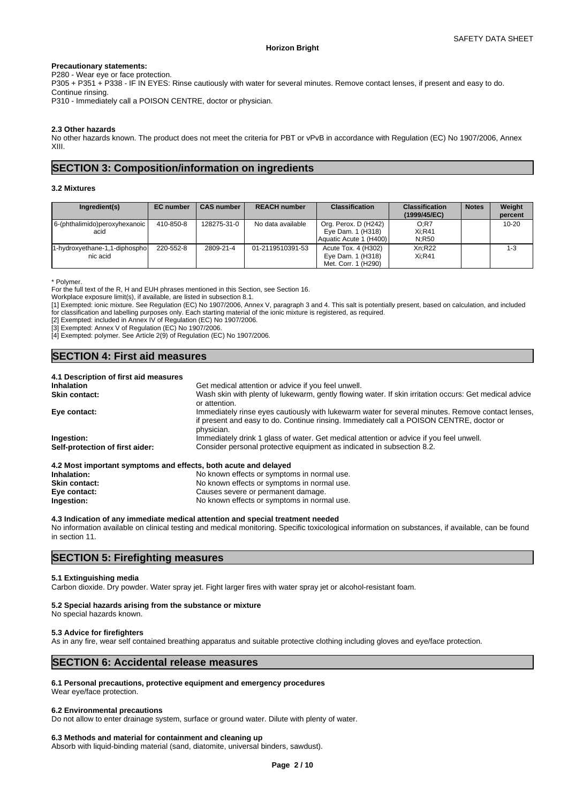#### **Precautionary statements:**

P280 - Wear eye or face protection.

P305 + P351 + P338 - IF IN EYES: Rinse cautiously with water for several minutes. Remove contact lenses, if present and easy to do. Continue rinsing.

P310 - Immediately call a POISON CENTRE, doctor or physician.

#### **2.3 Other hazards**

No other hazards known. The product does not meet the criteria for PBT or vPvB in accordance with Regulation (EC) No 1907/2006, Annex XIII.

# **SECTION 3: Composition/information on ingredients**

#### **3.2 Mixtures**

| Ingredient(s)                             | <b>EC</b> number | <b>CAS number</b> | <b>REACH number</b> | <b>Classification</b>                                               | <b>Classification</b><br>(1999/45/EC) | <b>Notes</b> | Weight<br>percent |
|-------------------------------------------|------------------|-------------------|---------------------|---------------------------------------------------------------------|---------------------------------------|--------------|-------------------|
| 6-(phthalimido)peroxyhexanoic<br>acid     | 410-850-8        | 128275-31-0       | No data available   | Org. Perox. D (H242)<br>Eye Dam. 1 (H318)<br>Aquatic Acute 1 (H400) | O:R7<br>$Xi:$ R41<br>N:R50            |              | $10 - 20$         |
| 1-hydroxyethane-1,1-diphospho<br>nic acid | 220-552-8        | 2809-21-4         | 01-2119510391-53    | Acute Tox. 4 (H302)<br>Eye Dam. 1 (H318)<br>Met. Corr. 1 (H290)     | Xn:R22<br>$Xi:$ R41                   |              | $1 - 3$           |

\* Polymer.

For the full text of the R, H and EUH phrases mentioned in this Section, see Section 16.

Workplace exposure limit(s), if available, are listed in subsection 8.1.

[1] Exempted: ionic mixture. See Regulation (EC) No 1907/2006, Annex V, paragraph 3 and 4. This salt is potentially present, based on calculation, and included for classification and labelling purposes only. Each starting material of the ionic mixture is registered, as required.

[2] Exempted: included in Annex IV of Regulation (EC) No 1907/2006.

[3] Exempted: Annex V of Regulation (EC) No 1907/2006.

[4] Exempted: polymer. See Article 2(9) of Regulation (EC) No 1907/2006.

# **SECTION 4: First aid measures**

#### **4.1 Description of first aid measures**

| <b>Inhalation</b>                                               | Get medical attention or advice if you feel unwell.                                                                                                                                                         |
|-----------------------------------------------------------------|-------------------------------------------------------------------------------------------------------------------------------------------------------------------------------------------------------------|
| <b>Skin contact:</b>                                            | Wash skin with plenty of lukewarm, gently flowing water. If skin irritation occurs: Get medical advice<br>or attention.                                                                                     |
| Eye contact:                                                    | Immediately rinse eyes cautiously with lukewarm water for several minutes. Remove contact lenses,<br>if present and easy to do. Continue rinsing. Immediately call a POISON CENTRE, doctor or<br>physician. |
| Ingestion:                                                      | Immediately drink 1 glass of water. Get medical attention or advice if you feel unwell.                                                                                                                     |
| Self-protection of first aider:                                 | Consider personal protective equipment as indicated in subsection 8.2.                                                                                                                                      |
| 4.2 Most important symptoms and effects, both acute and delayed |                                                                                                                                                                                                             |
| والمستحلة والمسالمين                                            | No known effects or overtome in normal use                                                                                                                                                                  |

| Inhalation:   | No known effects or symptoms in normal use. |
|---------------|---------------------------------------------|
| Skin contact: | No known effects or symptoms in normal use. |
| Eye contact:  | Causes severe or permanent damage.          |
| Ingestion:    | No known effects or symptoms in normal use. |
|               |                                             |

#### **4.3 Indication of any immediate medical attention and special treatment needed**

No information available on clinical testing and medical monitoring. Specific toxicological information on substances, if available, can be found in section 11.

# **SECTION 5: Firefighting measures**

#### **5.1 Extinguishing media**

Carbon dioxide. Dry powder. Water spray jet. Fight larger fires with water spray jet or alcohol-resistant foam.

#### **5.2 Special hazards arising from the substance or mixture**

No special hazards known.

#### **5.3 Advice for firefighters**

As in any fire, wear self contained breathing apparatus and suitable protective clothing including gloves and eye/face protection.

# **SECTION 6: Accidental release measures**

#### **6.1 Personal precautions, protective equipment and emergency procedures**

Wear eye/face protection.

#### **6.2 Environmental precautions**

Do not allow to enter drainage system, surface or ground water. Dilute with plenty of water.

#### **6.3 Methods and material for containment and cleaning up**

Absorb with liquid-binding material (sand, diatomite, universal binders, sawdust).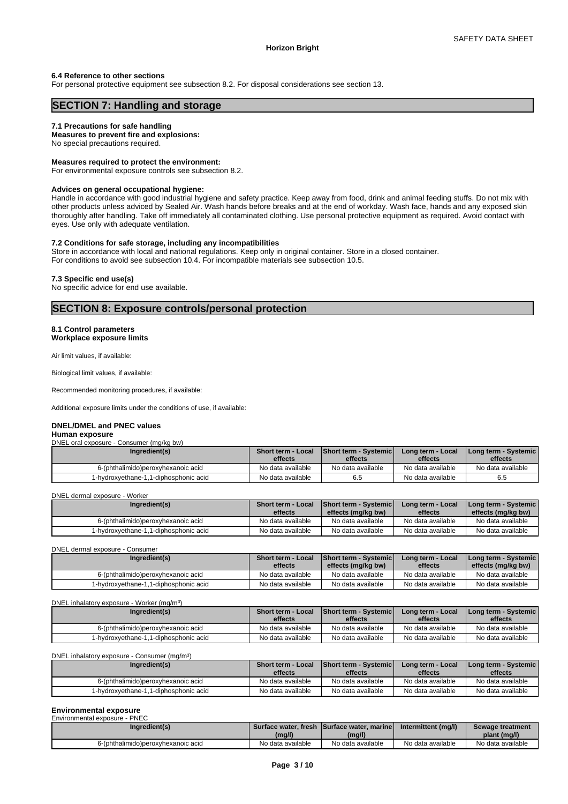#### **6.4 Reference to other sections**

For personal protective equipment see subsection 8.2. For disposal considerations see section 13.

# **SECTION 7: Handling and storage**

#### **7.1 Precautions for safe handling**

#### **Measures to prevent fire and explosions:**

No special precautions required.

#### **Measures required to protect the environment:**

For environmental exposure controls see subsection 8.2.

#### **Advices on general occupational hygiene:**

Handle in accordance with good industrial hygiene and safety practice. Keep away from food, drink and animal feeding stuffs. Do not mix with other products unless adviced by Sealed Air. Wash hands before breaks and at the end of workday. Wash face, hands and any exposed skin thoroughly after handling. Take off immediately all contaminated clothing. Use personal protective equipment as required. Avoid contact with eyes. Use only with adequate ventilation.

#### **7.2 Conditions for safe storage, including any incompatibilities**

Store in accordance with local and national regulations. Keep only in original container. Store in a closed container. For conditions to avoid see subsection 10.4. For incompatible materials see subsection 10.5.

#### **7.3 Specific end use(s)**

No specific advice for end use available.

# **SECTION 8: Exposure controls/personal protection**

#### **8.1 Control parameters Workplace exposure limits**

Air limit values, if available:

Biological limit values, if available:

Recommended monitoring procedures, if available:

Additional exposure limits under the conditions of use, if available:

#### **DNEL/DMEL and PNEC values**

#### **Human exposure**

|  |  | DNEL oral exposure - Consumer (mg/kg bw) |  |  |
|--|--|------------------------------------------|--|--|
|--|--|------------------------------------------|--|--|

| Ingredient(s)                              | Short term - Local<br>effects | <b>Short term - Systemic</b><br>effects | Long term - Local<br>effects | I Long term - Systemic I<br>effects |
|--------------------------------------------|-------------------------------|-----------------------------------------|------------------------------|-------------------------------------|
| 6-(phthalimido)peroxyhexanoic acid         | No data available             | No data available                       | No data available            | No data available                   |
| 1-hvdroxvethane-1.1<br>1-diphosphonic acid | No data available             | 6.5                                     | No data available            | 6.5                                 |

DNEL dermal exposure - Worker

| Ingredient(s)                         | <b>Short term - Local</b><br>effects | <b>Short term - Systemic</b><br>effects (mg/kg bw) | Long term - Local<br>effects | Long term - Systemic  <br>effects (mg/kg bw) |
|---------------------------------------|--------------------------------------|----------------------------------------------------|------------------------------|----------------------------------------------|
| 6-(phthalimido)peroxyhexanoic acid    | No data available                    | No data available                                  | No data available            | No data available                            |
| 1-hydroxyethane-1,1-diphosphonic acid | No data available                    | No data available                                  | No data available            | No data available                            |

DNEL dermal exposure - Consumer

| Ingredient(s)                         | <b>Short term - Local</b><br>effects | <b>Short term - Systemic</b><br>effects (mg/kg bw) | Long term - Local<br>effects | <b>I Long term - Systemic I</b><br>effects (mg/kg bw) |
|---------------------------------------|--------------------------------------|----------------------------------------------------|------------------------------|-------------------------------------------------------|
| 6-(phthalimido)peroxyhexanoic acid    | No data available                    | No data available                                  | No data available            | No data available                                     |
| 1-hydroxyethane-1,1-diphosphonic acid | No data available                    | No data available                                  | No data available            | No data available                                     |

#### DNEL inhalatory exposure - Worker (mg/m<sup>3</sup>)  $)$

| Ingredient(s)                         | Short term - Local<br>effects | <b>Short term - Systemicl</b><br>effects | Long term - Local<br>effects | I Long term - Systemic I<br>effects |
|---------------------------------------|-------------------------------|------------------------------------------|------------------------------|-------------------------------------|
| 6-(phthalimido)peroxyhexanoic acid    | No data available             | No data available                        | No data available            | No data available                   |
| 1-hydroxyethane-1,1-diphosphonic acid | No data available             | No data available                        | No data available            | No data available                   |

| effects<br>effects<br>effects<br>effects<br>No data available<br>No data available<br>No data available<br>No data available<br>6-(phthalimido)peroxyhexanoic acid | $\cdots$ y valvinto | <b>WHYLL WHILE</b><br>---- | .<br>----------   | - <b>- - - - - - - - -</b><br>---- | <u>www.chara</u>  |
|--------------------------------------------------------------------------------------------------------------------------------------------------------------------|---------------------|----------------------------|-------------------|------------------------------------|-------------------|
|                                                                                                                                                                    |                     |                            |                   |                                    |                   |
|                                                                                                                                                                    |                     |                            |                   |                                    |                   |
| l-hvdroxvethane-′<br>1-diphosphonic acid                                                                                                                           |                     | No data available          | No data available | No data available                  | No data available |

# **Environmental exposure**

| Environmental exposure - PNEC      |                   |                                            |                     |                   |  |  |  |
|------------------------------------|-------------------|--------------------------------------------|---------------------|-------------------|--|--|--|
| Ingredient(s)                      |                   | Surface water, fresh Surface water, marine | Intermittent (mg/l) | Sewage treatment  |  |  |  |
|                                    | (mg/l)            | (mg/l)                                     |                     | plant (mg/l)      |  |  |  |
| 6-(phthalimido)peroxyhexanoic acid | No data available | No data available                          | No data available   | No data available |  |  |  |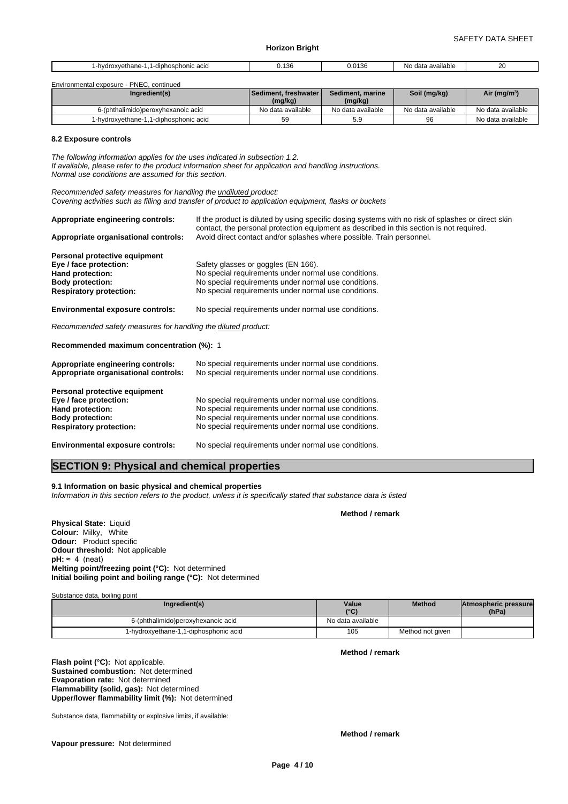| -diphosphonic acid<br>vethane-<br>-hvdroxv | 400<br>-46<br>$U_{\rm A}$<br>$\cdots$ | 042c<br>1.3C<br>u.u | No.<br>available<br>data | nn<br>LV. |
|--------------------------------------------|---------------------------------------|---------------------|--------------------------|-----------|
|                                            |                                       |                     |                          |           |

| Environmental exposure - PNEC, continued |                         |                   |                   |                          |
|------------------------------------------|-------------------------|-------------------|-------------------|--------------------------|
| Ingredient(s)                            | ∎Sediment. freshwater ′ | Sediment, marine  | Soil (mg/kg)      | Air (mg/m <sup>3</sup> ) |
|                                          | (mg/kg)                 | (mg/kg)           |                   |                          |
| 6-(phthalimido)peroxyhexanoic acid       | No data available       | No data available | No data available | No data available        |
| 1-hydroxyethane-1,1-diphosphonic acid    | 59                      | 5.9               | 96                | No data available        |

#### **8.2 Exposure controls**

*The following information applies for the uses indicated in subsection 1.2. If available, please refer to the product information sheet for application and handling instructions. Normal use conditions are assumed for this section.*

*Recommended safety measures for handling the undiluted product: Covering activities such as filling and transfer of product to application equipment, flasks or buckets*

| Appropriate engineering controls:                             | If the product is diluted by using specific dosing systems with no risk of splashes or direct skin<br>contact, the personal protection equipment as described in this section is not required. |  |  |  |  |  |
|---------------------------------------------------------------|------------------------------------------------------------------------------------------------------------------------------------------------------------------------------------------------|--|--|--|--|--|
| Appropriate organisational controls:                          | Avoid direct contact and/or splashes where possible. Train personnel.                                                                                                                          |  |  |  |  |  |
| Personal protective equipment                                 |                                                                                                                                                                                                |  |  |  |  |  |
| Eye / face protection:                                        | Safety glasses or goggles (EN 166).                                                                                                                                                            |  |  |  |  |  |
| Hand protection:                                              | No special requirements under normal use conditions.                                                                                                                                           |  |  |  |  |  |
| <b>Body protection:</b>                                       | No special requirements under normal use conditions.                                                                                                                                           |  |  |  |  |  |
| <b>Respiratory protection:</b>                                | No special requirements under normal use conditions.                                                                                                                                           |  |  |  |  |  |
| <b>Environmental exposure controls:</b>                       | No special requirements under normal use conditions.                                                                                                                                           |  |  |  |  |  |
| Recommended safety measures for handling the diluted product: |                                                                                                                                                                                                |  |  |  |  |  |

**Recommended maximum concentration (%):** 1

| Appropriate engineering controls:<br>Appropriate organisational controls: | No special requirements under normal use conditions.<br>No special requirements under normal use conditions. |
|---------------------------------------------------------------------------|--------------------------------------------------------------------------------------------------------------|
| Personal protective equipment                                             |                                                                                                              |
| Eye / face protection:                                                    | No special requirements under normal use conditions.                                                         |
| Hand protection:                                                          | No special requirements under normal use conditions.                                                         |
| <b>Body protection:</b>                                                   | No special requirements under normal use conditions.                                                         |
| <b>Respiratory protection:</b>                                            | No special requirements under normal use conditions.                                                         |
| <b>Environmental exposure controls:</b>                                   | No special requirements under normal use conditions.                                                         |

# **SECTION 9: Physical and chemical properties**

#### **9.1 Information on basic physical and chemical properties**

*Information in this section refers to the product, unless it is specifically stated that substance data is listed*

**Method / remark**

**Physical State:** Liquid **Colour:** Milky, White **Odour:** Product specific **Odour threshold:** Not applicable  $pH: \approx 4$  (neat) **Melting point/freezing point (°C):** Not determined **Initial boiling point and boiling range (°C):** Not determined

Substance data, boiling point

| Ingredient(s)                         | Value<br>10(1)    | <b>Method</b>    | Atmospheric pressure<br>(hPa) |
|---------------------------------------|-------------------|------------------|-------------------------------|
| 6-(phthalimido)peroxyhexanoic acid    | No data available |                  |                               |
| 1-hydroxyethane-1,1-diphosphonic acid | 105               | Method not given |                               |

**Flash point (°C):** Not applicable. **Sustained combustion:** Not determined **Evaporation rate:** Not determined **Flammability (solid, gas):** Not determined **Upper/lower flammability limit (%):** Not determined

Substance data, flammability or explosive limits, if available:

**Vapour pressure:** Not determined

**Method / remark**

**Method / remark**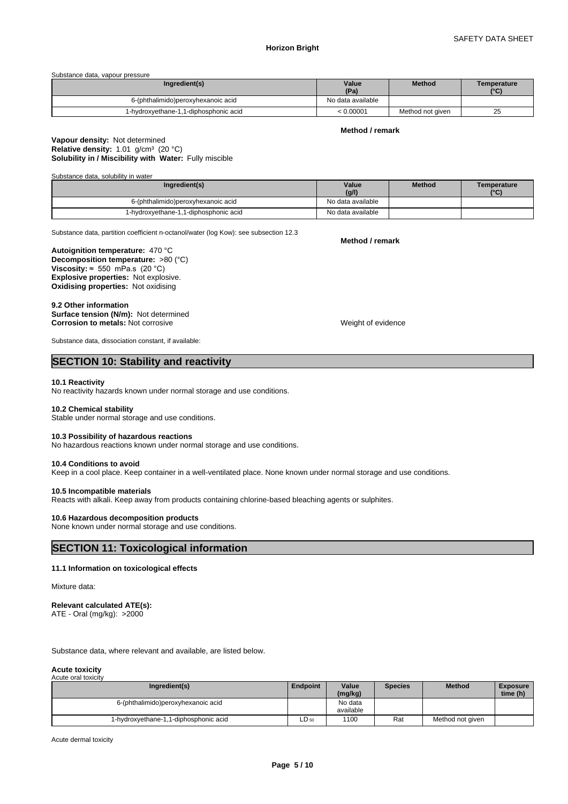Substance data, vapour pressure

| Ingredient(s)                         | Value<br>(Pa)     | <b>Method</b>    | Temperature<br>$10^{\circ}$ |
|---------------------------------------|-------------------|------------------|-----------------------------|
| 6-(phthalimido)peroxyhexanoic acid    | No data available |                  |                             |
| 1-hydroxyethane-1,1-diphosphonic acid | 10.00001          | Method not given | ~~<br>25                    |

#### **Method / remark**

#### **Solubility in / Miscibility with Water:** Fully miscible **Vapour density:** Not determined **Relative density:** 1.01 g/cm<sup>3</sup> (20 °C)

Substance data, solubility in water

| Ingredient(s)                            | Value<br>(g/l)    | <b>Method</b> | Temperature<br>$\mathbf{C}$ |
|------------------------------------------|-------------------|---------------|-----------------------------|
| 6-(phthalimido)peroxyhexanoic acid       | No data available |               |                             |
| 1-diphosphonic acid<br>1.1-hydroxyethane | No data available |               |                             |

Substance data, partition coefficient n-octanol/water (log Kow): see subsection 12.3

**Decomposition temperature:** >80 (°C) **Autoignition temperature:** 470 °C **Viscosity:**  $\approx$  550 mPa.s (20 °C) **Explosive properties:** Not explosive. **Oxidising properties:** Not oxidising

#### **9.2 Other information**

**Surface tension (N/m):** Not determined **Corrosion to metals:** Not corrosive Weight of evidence

**Method / remark**

Substance data, dissociation constant, if available:

# **SECTION 10: Stability and reactivity**

#### **10.1 Reactivity**

No reactivity hazards known under normal storage and use conditions.

#### **10.2 Chemical stability**

Stable under normal storage and use conditions.

#### **10.3 Possibility of hazardous reactions**

No hazardous reactions known under normal storage and use conditions.

#### **10.4 Conditions to avoid**

Keep in a cool place. Keep container in a well-ventilated place. None known under normal storage and use conditions.

#### **10.5 Incompatible materials**

Reacts with alkali. Keep away from products containing chlorine-based bleaching agents or sulphites.

#### **10.6 Hazardous decomposition products**

None known under normal storage and use conditions.

# **SECTION 11: Toxicological information**

#### **11.1 Information on toxicological effects**

#### Mixture data:

#### **Relevant calculated ATE(s):** ATE - Oral (mg/kg): >2000

Substance data, where relevant and available, are listed below.

#### **Acute toxicity** Acute oral toxicity

| Ingredient(s)                            | <b>Endpoint</b> | Value<br>(mg/kg)     | <b>Species</b> | <b>Method</b>    | <b>Exposure</b><br>time (h) |
|------------------------------------------|-----------------|----------------------|----------------|------------------|-----------------------------|
| 6-(phthalimido)peroxyhexanoic acid       |                 | No data<br>available |                |                  |                             |
| 1-diphosphonic acid<br>1-hydroxyethane-1 | $LD_{50}$       | 1100                 | Rat            | Method not given |                             |

Acute dermal toxicity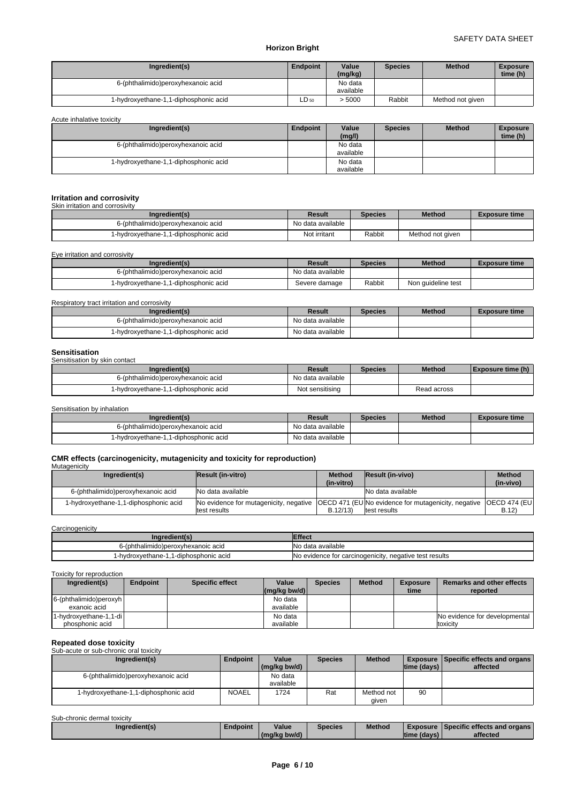| Ingredient(s)                              | <b>Endpoint</b> | Value<br>(mg/kg) | <b>Species</b> | <b>Method</b>    | <b>Exposure</b><br>time (h) |
|--------------------------------------------|-----------------|------------------|----------------|------------------|-----------------------------|
| 6-(phthalimido)peroxyhexanoic acid         |                 | No data          |                |                  |                             |
|                                            |                 | available        |                |                  |                             |
| 1-diphosphonic acid<br>1-hydroxyethane-1,1 | $LD_{50}$       | > 5000           | Rabbit         | Method not given |                             |

Acute inhalative toxicity

| Ingredient(s)                              | Endpoint | Value                | <b>Species</b> | <b>Method</b> | <b>Exposure</b> |  |
|--------------------------------------------|----------|----------------------|----------------|---------------|-----------------|--|
|                                            |          | (mg/l)               |                |               | time (h)        |  |
| 6-(phthalimido)peroxyhexanoic acid         |          | No data<br>available |                |               |                 |  |
| 1-diphosphonic acid<br>1-hydroxyethane-1,1 |          | No data<br>available |                |               |                 |  |

#### **Irritation and corrosivity**

| Skin irritation and corrosivity       |                   |                |                  |                      |
|---------------------------------------|-------------------|----------------|------------------|----------------------|
| Ingredient(s)                         | Result            | <b>Species</b> | <b>Method</b>    | <b>Exposure time</b> |
| 6-(phthalimido)peroxyhexanoic acid    | No data available |                |                  |                      |
| 1-hydroxyethane-1,1-diphosphonic acid | Not irritant      | Rabbit         | Method not given |                      |

Eye irritation and corrosivity

| Ingredient(s)                         | Result            | <b>Species</b> | <b>Method</b>      | <b>Exposure time</b> |
|---------------------------------------|-------------------|----------------|--------------------|----------------------|
| 6-(phthalimido)peroxyhexanoic acid    | No data available |                |                    |                      |
| I-hydroxvethane-1.1-diphosphonic acid | Severe damage     | Rabbit         | Non quideline test |                      |

#### Respiratory tract irritation and corrosivity

| Ingredient(s)                         | Result            | <b>Species</b> | <b>Method</b> | <b>Exposure time</b> |
|---------------------------------------|-------------------|----------------|---------------|----------------------|
| 6-(phthalimido)peroxyhexanoic acid    | No data available |                |               |                      |
| 1-hydroxyethane-1,1-diphosphonic acid | No data available |                |               |                      |

#### **Sensitisation**

| <u>ovnonouuvn</u><br>Sensitisation by skin contact |                   |                |               |                          |  |  |  |  |  |
|----------------------------------------------------|-------------------|----------------|---------------|--------------------------|--|--|--|--|--|
| Ingredient(s)                                      | Result            | <b>Species</b> | <b>Method</b> | <b>Exposure time (h)</b> |  |  |  |  |  |
| 6-(phthalimido)peroxyhexanoic acid                 | No data available |                |               |                          |  |  |  |  |  |
| 1-hydroxyethane-1,1-diphosphonic acid              | Not sensitising   |                | Read across   |                          |  |  |  |  |  |

Sensitisation by inhalation

| Ingredient(s)                            | Result            | <b>Species</b> | <b>Method</b> | Exposure time |
|------------------------------------------|-------------------|----------------|---------------|---------------|
| o-(phthalimido)peroxyhexanoic acid       | No data available |                |               |               |
| 1-diphosphonic acid<br>1-hvdroxvethane-1 | No data available |                |               |               |

#### **CMR effects (carcinogenicity, mutagenicity and toxicity for reproduction) Mutagenicity**

| Ingredient(s)                         | <b>Result (in-vitro)</b>                                                                                                         | <b>Method</b><br>(in-vitro) | Result (in-vivo)  | <b>Method</b><br>(in-vivo) |
|---------------------------------------|----------------------------------------------------------------------------------------------------------------------------------|-----------------------------|-------------------|----------------------------|
| 6-(phthalimido)peroxyhexanoic acid    | No data available                                                                                                                |                             | No data available |                            |
| 1-hydroxyethane-1,1-diphosphonic acid | No evidence for mutagenicity, negative COECD 471 (EUNo evidence for mutagenicity, negative OECD 474 (EU)<br><b>Itest results</b> | B.12/13                     | test results      | B.12)                      |

#### **Carcinogenicity**

| ingredient(s)                            | Effect                                                 |
|------------------------------------------|--------------------------------------------------------|
| -(phthalimido)peroxyhexanoic acid        | No data available                                      |
| 1-diphosphonic acid<br>1-hvdroxvethane-1 | No evidence for carcinogenicity, negative test results |

# Toxicity for reproduction

| Ingredient(s)             | Endpoint | <b>Specific effect</b> | Value<br>$(mg/kg$ bw/d) | <b>Species</b> | <b>Method</b> | <b>Exposure</b><br>time | Remarks and other effects<br>reported |
|---------------------------|----------|------------------------|-------------------------|----------------|---------------|-------------------------|---------------------------------------|
| $6$ -(phthalimido)peroxyh |          |                        | No data                 |                |               |                         |                                       |
| exanoic acid              |          |                        | available               |                |               |                         |                                       |
| 1-hydroxyethane-1,1-di    |          |                        | No data                 |                |               |                         | No evidence for developmental         |
| phosphonic acid           |          |                        | available               |                |               |                         | toxicity                              |

# **Repeated dose toxicity** Sub-acute or sub-chronic oral toxicity

| <u>UUD UUULU ULUUD ULIIULIIU ULUL IUAIULII</u> |                 |                            |                |               |             |                                                 |
|------------------------------------------------|-----------------|----------------------------|----------------|---------------|-------------|-------------------------------------------------|
| Ingredient(s)                                  | <b>Endpoint</b> | Value                      | <b>Species</b> | <b>Method</b> |             | <b>Exposure   Specific effects and organs  </b> |
|                                                |                 | $\frac{1}{2}$ (mg/kg bw/d) |                |               | time (days) | affected                                        |
| 6-(phthalimido)peroxyhexanoic acid             |                 | No data                    |                |               |             |                                                 |
|                                                |                 | available                  |                |               |             |                                                 |
| 1-hydroxyethane-1,1-diphosphonic acid          | <b>NOAEL</b>    | 1724                       | Rat            | Method not    | 90          |                                                 |
|                                                |                 |                            |                | given         |             |                                                 |

Sub-chronic dermal toxicity

| Ingredient(s) | Endpoint | Value        | <b>Species</b> | Method | Exposure       | <br>Specific effects and organs |
|---------------|----------|--------------|----------------|--------|----------------|---------------------------------|
|               |          | (mg/kg bw/d) |                |        | Itime (davs) I | affected                        |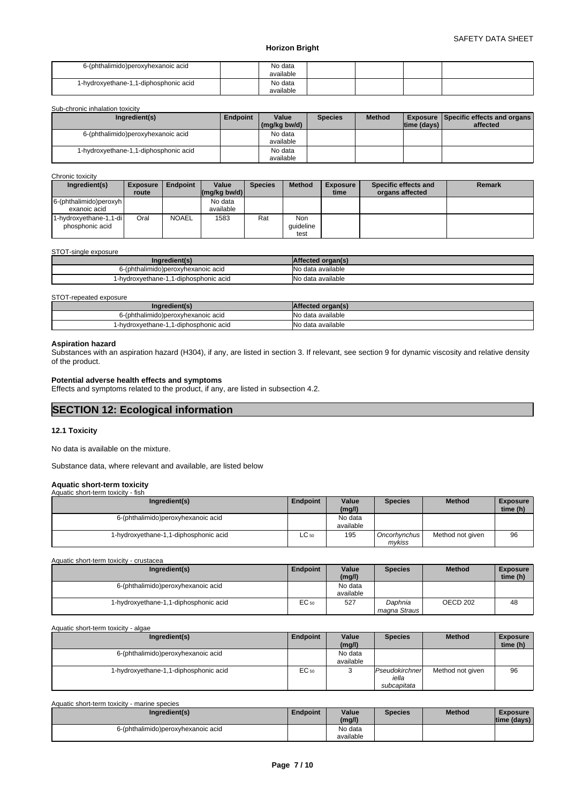| 6-(phthalimido)peroxyhexanoic acid    | No data<br>available |  |  |
|---------------------------------------|----------------------|--|--|
| 1-hydroxyethane-1,1-diphosphonic acid | No data              |  |  |
|                                       | available            |  |  |

Sub-chronic inhalation toxicity

| Ingredient(s)                         | Endpoint | Value<br>(mg/kg bw/d) | <b>Species</b> | <b>Method</b> | Itime (davs) I | <b>Exposure   Specific effects and organs  </b><br>affected |
|---------------------------------------|----------|-----------------------|----------------|---------------|----------------|-------------------------------------------------------------|
| 6-(phthalimido)peroxyhexanoic acid    |          | No data<br>available  |                |               |                |                                                             |
| 1-hydroxyethane-1,1-diphosphonic acid |          | No data<br>available  |                |               |                |                                                             |

Chronic toxicity

| Ingredient(s)                             | <b>Exposure</b> | Endpoint     | Value                                  | <b>Species</b> | <b>Method</b>            | <b>Exposure</b> | Specific effects and | <b>Remark</b> |
|-------------------------------------------|-----------------|--------------|----------------------------------------|----------------|--------------------------|-----------------|----------------------|---------------|
|                                           | route           |              | $\lfloor (mg/kg \text{ bw/d}) \rfloor$ |                |                          | time            | organs affected      |               |
| $6$ -(phthalimido)peroxyh<br>exanoic acid |                 |              | No data<br>available                   |                |                          |                 |                      |               |
| 1-hydroxyethane-1,1-di<br>phosphonic acid | Oral            | <b>NOAEL</b> | 1583                                   | Rat            | Non<br>quideline<br>test |                 |                      |               |

#### STOT-single exposure

| redient(s<br>.nar                        | <b>A</b> rtected organ(s) |
|------------------------------------------|---------------------------|
| 6-(phthalimido)peroxyhexanoic acid       | No data available         |
| 1-diphosphonic acid<br>1-hvdroxvethane-1 | No data available         |

#### STOT-repeated exposure

| Ingredient(s)                             | <b>IAffected organ(s)</b> |
|-------------------------------------------|---------------------------|
| 6-(phthalimido)peroxyhexanoic acid        | No data available         |
| 1-diphosphonic acid<br>1-hydroxyethane-1, | No data available         |

# **Aspiration hazard**

Substances with an aspiration hazard (H304), if any, are listed in section 3. If relevant, see section 9 for dynamic viscosity and relative density of the product.

#### **Potential adverse health effects and symptoms**

Effects and symptoms related to the product, if any, are listed in subsection 4.2.

# **SECTION 12: Ecological information**

#### **12.1 Toxicity**

No data is available on the mixture.

Substance data, where relevant and available, are listed below

#### **Aquatic short-term toxicity**

| Aquatic short-term toxicity - fish |                                       |           |                      |                          |                  |                             |
|------------------------------------|---------------------------------------|-----------|----------------------|--------------------------|------------------|-----------------------------|
|                                    | Ingredient(s)                         | Endpoint  | Value<br>(mg/l)      | <b>Species</b>           | <b>Method</b>    | <b>Exposure</b><br>time (h) |
|                                    | 6-(phthalimido)peroxyhexanoic acid    |           | No data<br>available |                          |                  |                             |
|                                    | 1-hydroxyethane-1,1-diphosphonic acid | $LC_{50}$ | 195                  | Oncorhynchus I<br>mvkiss | Method not given | 96                          |

Aquatic short-term toxicity - crustacea

| Ingredient(s)                            | <b>Endpoint</b>  | Value<br>(mg/l)      | <b>Species</b>            | <b>Method</b> | <b>Exposure</b><br>time (h) |  |
|------------------------------------------|------------------|----------------------|---------------------------|---------------|-----------------------------|--|
| 6-(phthalimido)peroxyhexanoic acid       |                  | No data<br>available |                           |               |                             |  |
| 1-diphosphonic acid<br>1-hydroxyethane-1 | EC <sub>50</sub> | 527                  | Daphnia<br>magna Straus I | OECD 202      | 48                          |  |

#### Aquatic short-term toxicity - algae

| Ingredient(s)                         | Endpoint  | Value<br>(mg/l)      | <b>Species</b>                         | <b>Method</b>    | <b>Exposure</b><br>time (h) |
|---------------------------------------|-----------|----------------------|----------------------------------------|------------------|-----------------------------|
| 6-(phthalimido)peroxyhexanoic acid    |           | No data<br>available |                                        |                  |                             |
| 1-hydroxyethane-1,1-diphosphonic acid | $EC_{50}$ |                      | Pseudokirchner<br>iella<br>subcapitata | Method not given | 96                          |

| Aquatic short-term toxicity - marine species |                 |                |               |                                |  |  |  |  |
|----------------------------------------------|-----------------|----------------|---------------|--------------------------------|--|--|--|--|
| <b>Endpoint</b>                              | Value<br>(mg/l) | <b>Species</b> | <b>Method</b> | <b>Exposure</b><br>time (davs) |  |  |  |  |
|                                              | No data         |                |               |                                |  |  |  |  |
|                                              |                 | available      |               |                                |  |  |  |  |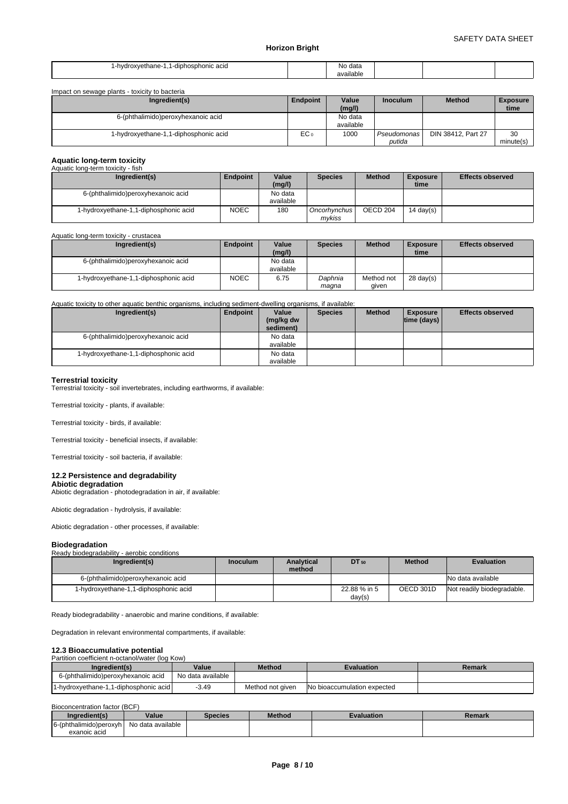| .ohosphon<br>$int$ hono<br>nic acio<br>.hvd<br>nvu.<br>$\sim$<br>$\cdot$<br>. | No data<br>available |  |
|-------------------------------------------------------------------------------|----------------------|--|
|-------------------------------------------------------------------------------|----------------------|--|

| Impact on sewage plants - toxicity to bacteria |                 |           |                 |                    |                 |  |  |  |
|------------------------------------------------|-----------------|-----------|-----------------|--------------------|-----------------|--|--|--|
| Ingredient(s)                                  | Endpoint        | Value     | <b>Inoculum</b> | <b>Method</b>      | <b>Exposure</b> |  |  |  |
|                                                |                 | (mg/l)    |                 |                    | time            |  |  |  |
| 6-(phthalimido)peroxyhexanoic acid             |                 | No data   |                 |                    |                 |  |  |  |
|                                                |                 | available |                 |                    |                 |  |  |  |
| 1-diphosphonic acid<br>1-hydroxyethane-1,1     | EC <sub>0</sub> | 1000      | Pseudomonas     | DIN 38412, Part 27 | 30              |  |  |  |
|                                                |                 |           | putida          |                    | minute(s)       |  |  |  |

### **Aquatic long-term toxicity**

| Aquatic long-term toxicity - fish     |             |                 |                     |               |                         |                         |
|---------------------------------------|-------------|-----------------|---------------------|---------------|-------------------------|-------------------------|
| Ingredient(s)                         | Endpoint    | Value<br>(mg/l) | <b>Species</b>      | <b>Method</b> | <b>Exposure</b><br>time | <b>Effects observed</b> |
| 6-(phthalimido)peroxyhexanoic acid    |             | No data         |                     |               |                         |                         |
|                                       |             | available       |                     |               |                         |                         |
| 1-hydroxyethane-1,1-diphosphonic acid | <b>NOEC</b> | 180             | <b>Oncorhynchus</b> | OECD 204      | 14 day $(s)$            |                         |
|                                       |             |                 | mvkiss              |               |                         |                         |

#### Aquatic long-term toxicity - crustacea

| Ingredient(s)                         | <b>Endpoint</b> | Value     | <b>Species</b> | <b>Method</b> | <b>Exposure</b>     | <b>Effects observed</b> |
|---------------------------------------|-----------------|-----------|----------------|---------------|---------------------|-------------------------|
|                                       |                 | (mg/l)    |                |               | time                |                         |
| 6-(phthalimido)peroxyhexanoic acid    |                 | No data   |                |               |                     |                         |
|                                       |                 | available |                |               |                     |                         |
| 1-hydroxyethane-1,1-diphosphonic acid | <b>NOEC</b>     | 6.75      | Daphnia        | Method not    | $28 \text{ day}(s)$ |                         |
|                                       |                 |           | maqna          | qiven         |                     |                         |

#### Aquatic toxicity to other aquatic benthic organisms, including sediment-dwelling organisms, if available:

| Ingredient(s)                         | Endpoint | Value                  | <b>Species</b> | <b>Method</b> | <b>Exposure</b>    | <b>Effects observed</b> |
|---------------------------------------|----------|------------------------|----------------|---------------|--------------------|-------------------------|
|                                       |          | (mg/kg dw<br>sediment) |                |               | $ time$ (days) $ $ |                         |
| 6-(phthalimido)peroxyhexanoic acid    |          | No data                |                |               |                    |                         |
|                                       |          | available              |                |               |                    |                         |
| 1-hydroxyethane-1,1-diphosphonic acid |          | No data                |                |               |                    |                         |
|                                       |          | available              |                |               |                    |                         |

#### **Terrestrial toxicity**

Terrestrial toxicity - soil invertebrates, including earthworms, if available:

Terrestrial toxicity - plants, if available:

Terrestrial toxicity - birds, if available:

Terrestrial toxicity - beneficial insects, if available:

Terrestrial toxicity - soil bacteria, if available:

#### **12.2 Persistence and degradability**

**Abiotic degradation** Abiotic degradation - photodegradation in air, if available:

Abiotic degradation - hydrolysis, if available:

Abiotic degradation - other processes, if available:

#### **Biodegradation**

#### Ready biodegradability - aerobic conditions **Ingredient(s) Inoculum Analytical DT**<sub>50</sub> **method DEPERIMENT EVALUATION** 6-(phthalimido)peroxyhexanoic acid available not be accorded not be a set of the set of the set of the set of the set of the set of the set of the set of the set of the set of the set of the set of the set of the set of th 1-hydroxyethane-1,1-diphosphonic acid 22.88 % in 5 OECD 301D day(s) Not readily biodegradable.

Ready biodegradability - anaerobic and marine conditions, if available:

Degradation in relevant environmental compartments, if available:

#### **12.3 Bioaccumulative potential**

Partition coefficient n-octanol/water (log Kow)

| Ingredient(s)                         | Value             | Method           | Evaluation                  | Remark |
|---------------------------------------|-------------------|------------------|-----------------------------|--------|
| 6-(phthalimido)peroxyhexanoic acid    | No data available |                  |                             |        |
| 1-hydroxyethane-1.1-diphosphonic acid | $-3.49$           | Method not given | No bioaccumulation expected |        |

#### Bioconcentration factor (BCF)

| Inaredient(s)                          | Value             | Species | <b>Method</b> | Evaluation | <b>Remark</b> |
|----------------------------------------|-------------------|---------|---------------|------------|---------------|
| 6-(phthalimido)peroxyh<br>exanoic acid | No data available |         |               |            |               |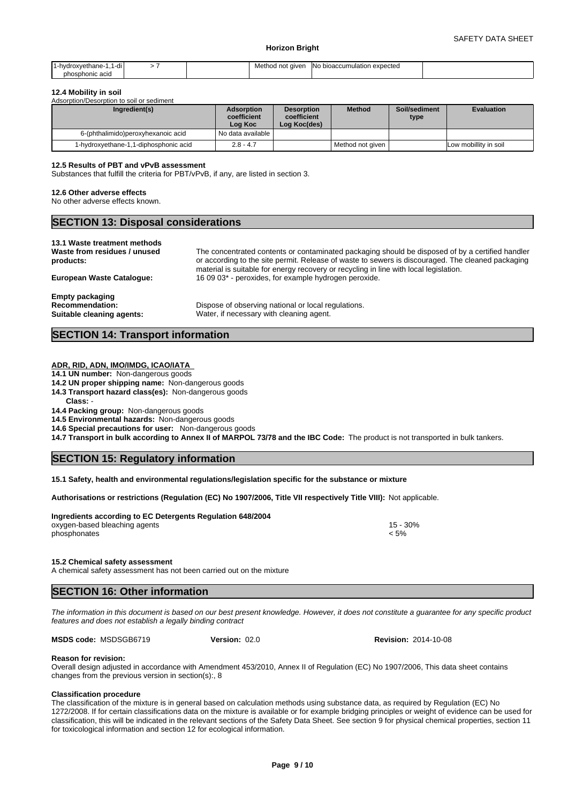| hvdroxvethane-<br>-ai<br>phosphonic acid | Method not giver | า expected<br><b>INO bioaccumulation</b><br>. |  |
|------------------------------------------|------------------|-----------------------------------------------|--|
|------------------------------------------|------------------|-----------------------------------------------|--|

#### **12.4 Mobility in soil**

Adsorption/Desorption to soil or sediment

| Ingredient(s)                         | <b>Adsorption</b><br>coefficient<br>Log Koc | <b>Desorption</b><br>coefficient<br>Log Koc(des) | <b>Method</b>    | Soil/sediment<br>type | <b>Evaluation</b>     |
|---------------------------------------|---------------------------------------------|--------------------------------------------------|------------------|-----------------------|-----------------------|
| 6-(phthalimido)peroxyhexanoic acid    | I No data available I                       |                                                  |                  |                       |                       |
| 1-hydroxyethane-1,1-diphosphonic acid | $2.8 - 4.7$                                 |                                                  | Method not given |                       | Low mobillity in soil |

#### **12.5 Results of PBT and vPvB assessment**

Substances that fulfill the criteria for PBT/vPvB, if any, are listed in section 3.

#### **12.6 Other adverse effects**

No other adverse effects known.

| <b>SECTION 13: Disposal considerations</b> |  |
|--------------------------------------------|--|
| 12 1 Wasto troatmont mothods               |  |

# **13.1 Waste treatment metno**

**Waste from residues / unused products:**

The concentrated contents or contaminated packaging should be disposed of by a certified handler or according to the site permit. Release of waste to sewers is discouraged. The cleaned packaging material is suitable for energy recovery or recycling in line with local legislation. **European Waste Catalogue:** 16 09 03\* - peroxides, for example hydrogen peroxide.

**Empty packaging**

**Recommendation:** Dispose of observing national or local regulations.<br> **Suitable cleaning agents:** Water, if necessary with cleaning agent. Water, if necessary with cleaning agent.

#### **SECTION 14: Transport information**

#### **ADR, RID, ADN, IMO/IMDG, ICAO/IATA**

**14.1 UN number:** Non-dangerous goods

- **14.2 UN proper shipping name:** Non-dangerous goods
- **14.3 Transport hazard class(es):** Non-dangerous goods

**Class:** -

**14.4 Packing group:** Non-dangerous goods

**14.5 Environmental hazards:** Non-dangerous goods

**14.6 Special precautions for user:** Non-dangerous goods

**14.7 Transport in bulk according to Annex II of MARPOL 73/78 and the IBC Code:** The product is not transported in bulk tankers.

### **SECTION 15: Regulatory information**

**15.1 Safety, health and environmental regulations/legislation specific for the substance or mixture**

**Authorisations or restrictions (Regulation (EC) No 1907/2006, Title VII respectively Title VIII):** Not applicable.

#### **Ingredients according to EC Detergents Regulation 648/2004** oxygen-based bleaching agents 15 - 30% oxygen-based bleaching agents 15 - 30%  $\epsilon$  phosphonates  $\epsilon$  5%  $\epsilon$  5%  $\epsilon$  5%  $\epsilon$  5%  $\epsilon$  5%  $\epsilon$  5%  $\epsilon$  5%  $\epsilon$  5%  $\epsilon$  5%  $\epsilon$  5%  $\epsilon$  5%  $\epsilon$  5%  $\epsilon$  5%  $\epsilon$  5%  $\epsilon$  5%  $\epsilon$  5%  $\epsilon$  5%  $\epsilon$  5%  $\epsilon$  5%  $\epsilon$  5%  $\epsilon$  5%  $\epsilon$  5%  $\epsilon$  5%  $\epsilon$  5%  $\epsilon$  5%  $\epsilon$

**15.2 Chemical safety assessment**

A chemical safety assessment has not been carried out on the mixture

# **SECTION 16: Other information**

*The information in this document is based on our best present knowledge. However, it does not constitute a guarantee for any specific product features and does not establish a legally binding contract*

**MSDS code:** MSDSGB6719 **Version:** 02.0

**Version:** 02.0 **Revision:** 2014-10-08

#### **Reason for revision:**

Overall design adjusted in accordance with Amendment 453/2010, Annex II of Regulation (EC) No 1907/2006, This data sheet contains changes from the previous version in section(s):, 8

#### **Classification procedure**

The classification of the mixture is in general based on calculation methods using substance data, as required by Regulation (EC) No 1272/2008. If for certain classifications data on the mixture is available or for example bridging principles or weight of evidence can be used for classification, this will be indicated in the relevant sections of the Safety Data Sheet. See section 9 for physical chemical properties, section 11 for toxicological information and section 12 for ecological information.